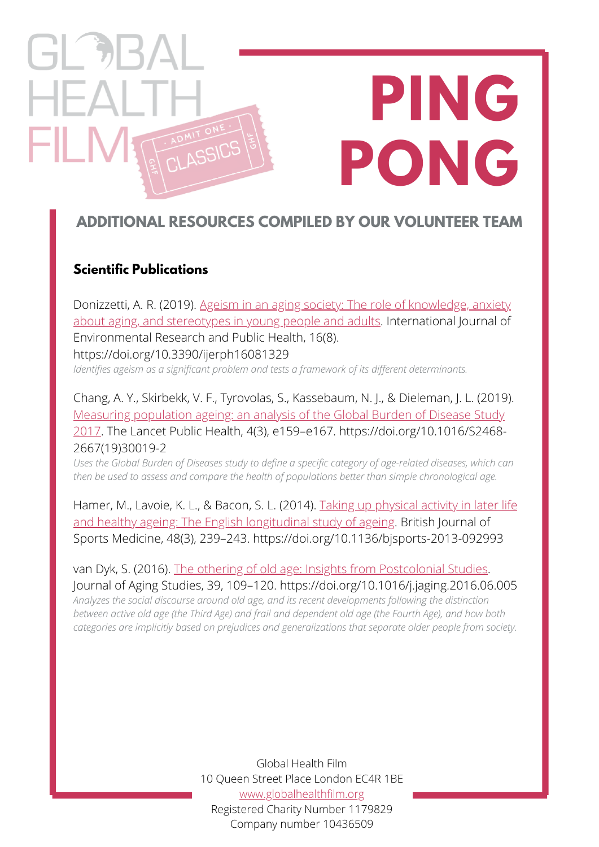# **PING PONG** ASSICS

## **ADDITIONAL RESOURCES COMPILED BY OUR VOLUNTEER TEAM**

#### **Scientific Publications**

 $\Box$ 

FILM

Donizzetti, A. R. (2019). Ageism in an aging society: The role of knowledge, anxiety [about aging, and stereotypes in young people and adults. International Journal of](https://www.mdpi.com/1660-4601/16/8/1329) Environmental Research and Public Health, 16(8). https://doi.org/10.3390/ijerph16081329

*Identifies ageism as a significant problem and tests a framework of its different determinants.*

Chang, A. Y., Skirbekk, V. F., Tyrovolas, S., Kassebaum, N. J., & Dieleman, J. L. (2019). Measuring population ageing: an analysis of the Global Burden of Disease Study [2017. The Lancet Public Health, 4\(3\), e159–e167. https://doi.org/10.1016/S2468-](https://www.thelancet.com/journals/lanpub/article/PIIS2468-2667(19)30019-2/fulltext) 2667(19)30019-2

*Uses the Global Burden of Diseases study to define a specific category of age-related diseases, which can then be used to assess and compare the health of populations better than simple chronological age.*

[Hamer, M., Lavoie, K. L., & Bacon, S. L. \(2014\). Taking up physical activity in later life](https://bjsm.bmj.com/content/48/3/239) and healthy ageing: The English longitudinal study of ageing. British Journal of Sports Medicine, 48(3), 239–243. https://doi.org/10.1136/bjsports-2013-092993

van Dyk, S. (2016). [The othering of old age: Insights from Postcolonial Studies](https://www.sciencedirect.com/science/article/pii/S0890406516302018?casa_token=PJcOfSfZKWAAAAAA:l46qPj3Um-RIkSFA3DMa9f_VsJB_EW0e9g7nccqaXlXuVModQZ0k-Tv_DAVOIzNnzurxJKvX). Journal of Aging Studies, 39, 109–120. https://doi.org/10.1016/j.jaging.2016.06.005 *Analyzes the social discourse around old age, and its recent developments following the distinction* between active old age (the Third Age) and frail and dependent old age (the Fourth Age), and how both

*categories are implicitly based on prejudices and generalizations that separate older people from society.*

Global Health Film 10 Queen Street Place London EC4R 1BE [www.globalhealthfilm.org](http://globalhealthfilm.org/) Registered Charity Number 1179829 Company number 10436509